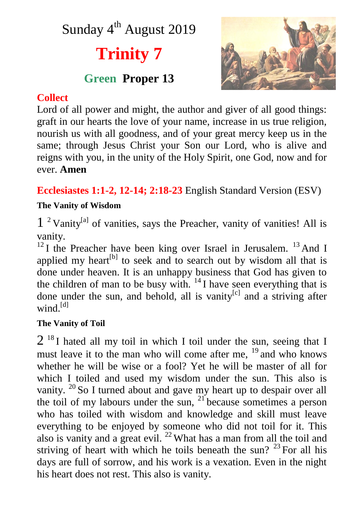## Sunday 4<sup>th</sup> August 2019

# **Trinity 7**

### **Green Proper 13**



#### **Collect**

Lord of all power and might, the author and giver of all good things: graft in our hearts the love of your name, increase in us true religion, nourish us with all goodness, and of your great mercy keep us in the same; through Jesus Christ your Son our Lord, who is alive and reigns with you, in the unity of the Holy Spirit, one God, now and for ever. **Amen**

**Ecclesiastes 1:1-2, 12-14; 2:18-23** English Standard Version (ESV)

#### **The Vanity of Wisdom**

1<sup>2</sup> Vanity<sup>[a]</sup> of vanities, says the Preacher, vanity of vanities! All is vanity.

 $12$  I the Preacher have been king over Israel in Jerusalem.  $13$  And I applied my heart<sup>[b]</sup> to seek and to search out by wisdom all that is done under heaven. It is an unhappy business that God has given to the children of man to be busy with.  $14$  I have seen everything that is done under the sun, and behold, all is vanity<sup>[c]</sup> and a striving after wind<sup>[d]</sup>

#### **The Vanity of Toil**

 $2^{18}$ I hated all my toil in which I toil under the sun, seeing that I must leave it to the man who will come after me,  $^{19}$  and who knows whether he will be wise or a fool? Yet he will be master of all for which I toiled and used my wisdom under the sun. This also is vanity.  $20$  So I turned about and gave my heart up to despair over all the toil of my labours under the sun,  $21$  because sometimes a person who has toiled with wisdom and knowledge and skill must leave everything to be enjoyed by someone who did not toil for it. This also is vanity and a great evil.  $^{22}$  What has a man from all the toil and striving of heart with which he toils beneath the sun?  $23$  For all his days are full of sorrow, and his work is a vexation. Even in the night his heart does not rest. This also is vanity.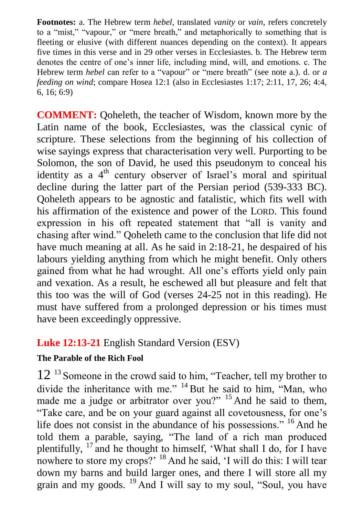**Footnotes:** a. The Hebrew term *hebel*, translated *vanity* or *vain*, refers concretely to a "mist," "vapour," or "mere breath," and metaphorically to something that is fleeting or elusive (with different nuances depending on the context). It appears five times in this verse and in 29 other verses in Ecclesiastes. b. The Hebrew term denotes the centre of one's inner life, including mind, will, and emotions. c. The Hebrew term *hebel* can refer to a "vapour" or "mere breath" (see note a.). d. or *a feeding on wind*; compare Hosea 12:1 (also in Ecclesiastes 1:17; 2:11, 17, 26; 4:4, 6, 16; 6:9)

**COMMENT:** Qoheleth, the teacher of Wisdom, known more by the Latin name of the book, Ecclesiastes, was the classical cynic of scripture. These selections from the beginning of his collection of wise sayings express that characterisation very well. Purporting to be Solomon, the son of David, he used this pseudonym to conceal his identity as a  $4<sup>th</sup>$  century observer of Israel's moral and spiritual decline during the latter part of the Persian period (539-333 BC). Qoheleth appears to be agnostic and fatalistic, which fits well with his affirmation of the existence and power of the LORD. This found expression in his oft repeated statement that "all is vanity and chasing after wind." Qoheleth came to the conclusion that life did not have much meaning at all. As he said in 2:18-21, he despaired of his labours yielding anything from which he might benefit. Only others gained from what he had wrought. All one's efforts yield only pain and vexation. As a result, he eschewed all but pleasure and felt that this too was the will of God (verses 24-25 not in this reading). He must have suffered from a prolonged depression or his times must have been exceedingly oppressive.

#### **Luke 12:13-21** English Standard Version (ESV)

#### **The Parable of the Rich Fool**

12<sup>13</sup> Someone in the crowd said to him, "Teacher, tell my brother to divide the inheritance with me." <sup>14</sup> But he said to him, "Man, who made me a judge or arbitrator over you?" <sup>15</sup> And he said to them, "Take care, and be on your guard against all covetousness, for one's life does not consist in the abundance of his possessions." <sup>16</sup> And he told them a parable, saying, "The land of a rich man produced plentifully,  $17$  and he thought to himself, 'What shall I do, for I have nowhere to store my crops?' <sup>18</sup> And he said, 'I will do this: I will tear down my barns and build larger ones, and there I will store all my grain and my goods. <sup>19</sup> And I will say to my soul, "Soul, you have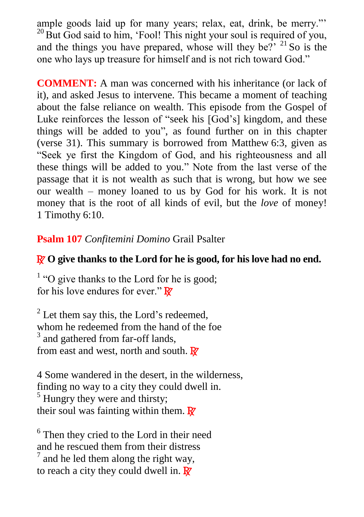ample goods laid up for many years; relax, eat, drink, be merry."'  $^{20}$  But God said to him, 'Fool! This night your soul is required of you, and the things you have prepared, whose will they be?'  $21$  So is the one who lays up treasure for himself and is not rich toward God."

**COMMENT:** A man was concerned with his inheritance (or lack of it), and asked Jesus to intervene. This became a moment of teaching about the false reliance on wealth. This episode from the Gospel of Luke reinforces the lesson of "seek his [God's] kingdom, and these things will be added to you", as found further on in this chapter (verse 31). This summary is borrowed from Matthew 6:3, given as "Seek ye first the Kingdom of God, and his righteousness and all these things will be added to you." Note from the last verse of the passage that it is not wealth as such that is wrong, but how we see our wealth – money loaned to us by God for his work. It is not money that is the root of all kinds of evil, but the *love* of money! 1 Timothy 6:10.

**Psalm 107** *Confitemini Domino* Grail Psalter

#### R **O give thanks to the Lord for he is good, for his love had no end.**

<sup>1</sup> "O give thanks to the Lord for he is good; for his love endures for ever."  $\mathbf{\mathbb{R}}$ 

 $2^2$  Let them say this, the Lord's redeemed, whom he redeemed from the hand of the foe <sup>3</sup> and gathered from far-off lands, from east and west, north and south.  $\mathbf{R}^{\prime}$ 

4 Some wandered in the desert, in the wilderness, finding no way to a city they could dwell in.  $<sup>5</sup>$  Hungry they were and thirsty;</sup> their soul was fainting within them.  $\mathbf{\mathbb{R}}$ 

<sup>6</sup> Then they cried to the Lord in their need and he rescued them from their distress  $<sup>7</sup>$  and he led them along the right way,</sup> to reach a city they could dwell in.  $\mathbf{R}$